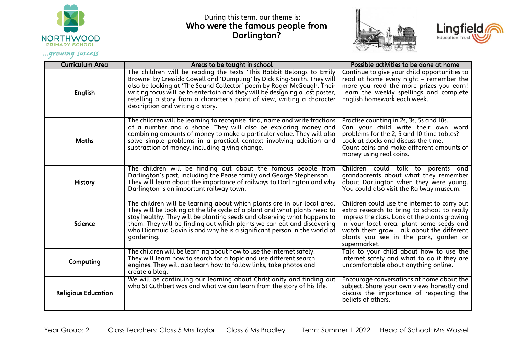

During this term, our theme is: Who were the famous people from Darlington?





Curriculum Area Areas Areas to be taught in school **Areas** to be done at home at home English The children will be reading the texts 'This Rabbit Belongs to Emily Browne' by Cressida Cowell and 'Dumpling' by Dick King-Smith. They will also be looking at 'The Sound Collector' poem by Roger McGough. Their writing focus will be to entertain and they will be designing a lost poster, retelling a story from a character's point of view, writing a character description and writing a story. Continue to give your child opportunities to read at home every night – remember the more you read the more prizes you earn! Learn the weekly spellings and complete English homework each week. **Maths** The children will be learning to recognise, find, name and write fractions of a number and a shape. They will also be exploring money and combining amounts of money to make a particular value. They will also solve simple problems in a practical context involving addition and subtraction of money, including giving change. Practise counting in 2s, 3s, 5s and 10s. Can your child write their own word problems for the 2, 5 and 10 time tables? Look at clocks and discuss the time. Count coins and make different amounts of money using real coins. History The children will be finding out about the famous people from Darlington's past, including the Pease family and George Stephenson. They will learn about the importance of railways to Darlington and why Darlington is an important railway town. Children could talk to parents and grandparents about what they remember about Darlington when they were young. You could also visit the Railway museum. Science The children will be learning about which plants are in our local area. They will be looking at the life cycle of a plant and what plants need to stay healthy. They will be planting seeds and observing what happens to them. They will be finding out which plants we can eat and discovering who Diarmuid Gavin is and why he is a sianificant person in the world of gardening. Children could use the internet to carry out extra research to bring to school to really impress the class. Look at the plants growing in your local area, plant some seeds and watch them grow. Talk about the different plants you see in the park, garden or supermarket. Computing The children will be learning about how to use the internet safely. They will learn how to search for a topic and use different search engines. They will also learn how to follow links, take photos and create a blog. Talk to your child about how to use the internet safely and what to do if they are uncomfortable about anything online. Religious Education We will be continuing our learning about Christianity and finding out who St Cuthbert was and what we can learn from the story of his life. Encourage conversations at home about the subject. Share your own views honestly and discuss the importance of respecting the beliefs of others.